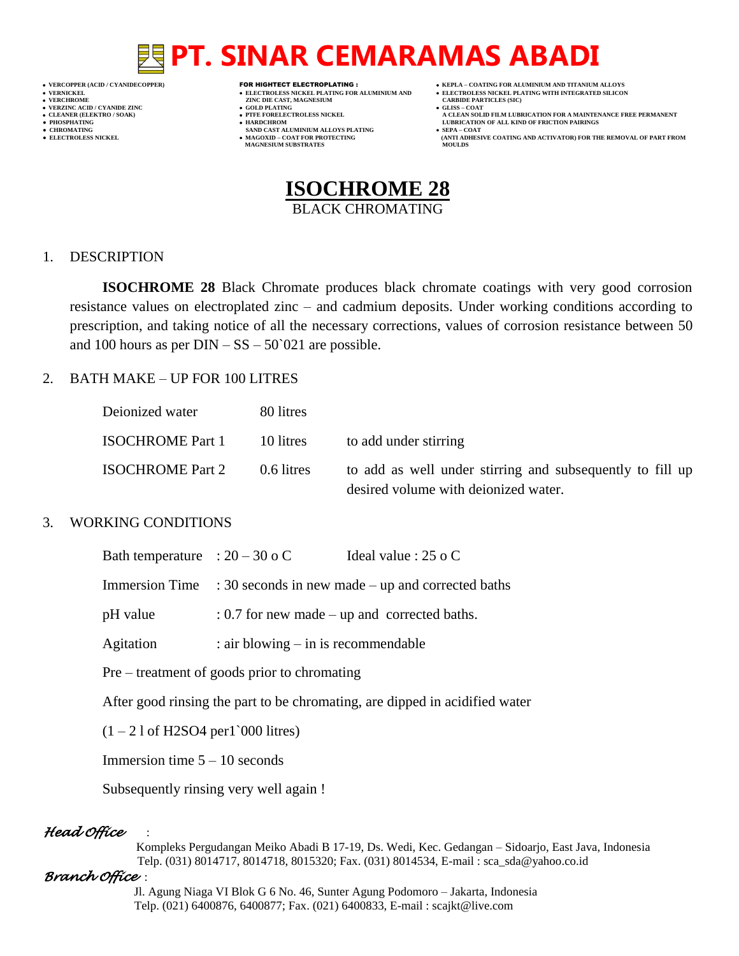- 
- 
- 
- 

- **VERT AND AGNESIUM CARBIDE PARTICLES (SOLD PLATING COLLS)**
- **VERZINC ACID / CYANIDE ZINC GOLD PLATING GLISS – COAT**
	-
- **● CHROMATING SAND CAST ALUMINIUM ALLOYS PLATING SEPA – COAT MAGNESIUM SUBSTRATES MOULDS**
- **VERCOPPER (ACID / CYANIDECOPPER)** FOR HIGHTECT ELECTROPLATING :  **KEPLA – COATING FOR ALUMINIUM AND TITANIUM ALLOYS**
- **VERNICKEL ELECTROLESS NICKEL PLATING FOR ALUMINIUM AND ELECTROLESS NICKEL PLATING WITH INTEGRATED SILICON**
	-
- **CLEANER (ELEKTRO / SOAK) PTFE FORELECTROLESS NICKEL A CLEAN SOLID FILM LUBRICATION FOR A MAINTENANCE FREE PERMANENT ● PHOSPHATING HARDCHROM LUBRICATION OF ALL KIND OF FRICTION PAIRINGS**
- **• ELECTROLESS NICKEL <b>MAGOXID COAT FOR PROTECTING (ANTI ADDITION** FOR THE REMOVAL OF PART FROM **AND ACTIVATOR**) FOR THE REMOVAL OF PART FROM **AND ACTIVATOR** (ANTI ADHESIVE COATING AND ACTIVATOR) FOR THE REMOVAL OF P



### 1. DESCRIPTION

**ISOCHROME 28** Black Chromate produces black chromate coatings with very good corrosion resistance values on electroplated zinc – and cadmium deposits. Under working conditions according to prescription, and taking notice of all the necessary corrections, values of corrosion resistance between 50 and 100 hours as per  $\text{DIN} - \text{SS} - 50^{\circ}021$  are possible.

### 2. BATH MAKE – UP FOR 100 LITRES

| Deionized water         | 80 litres  |                                                                                                   |
|-------------------------|------------|---------------------------------------------------------------------------------------------------|
| <b>ISOCHROME Part 1</b> | 10 litres  | to add under stirring                                                                             |
| <b>ISOCHROME</b> Part 2 | 0.6 litres | to add as well under stirring and subsequently to fill up<br>desired volume with deionized water. |

### 3. WORKING CONDITIONS

| Bath temperature : $20 - 30$ o C |                                                                             | Ideal value : $25$ o C |  |
|----------------------------------|-----------------------------------------------------------------------------|------------------------|--|
|                                  | Immersion Time $\therefore$ 30 seconds in new made – up and corrected baths |                        |  |
| pH value                         | $: 0.7$ for new made – up and corrected baths.                              |                        |  |
| Agitation                        | $:$ air blowing $-$ in is recommendable                                     |                        |  |

Pre – treatment of goods prior to chromating

After good rinsing the part to be chromating, are dipped in acidified water

 $(1 - 21$  of H2SO4 per1`000 litres)

Immersion time  $5 - 10$  seconds

Subsequently rinsing very well again !

# *Head Office* :

 Kompleks Pergudangan Meiko Abadi B 17-19, Ds. Wedi, Kec. Gedangan – Sidoarjo, East Java, Indonesia Telp. (031) 8014717, 8014718, 8015320; Fax. (031) 8014534, E-mail : sca\_sda@yahoo.co.id

### *Branch Office* :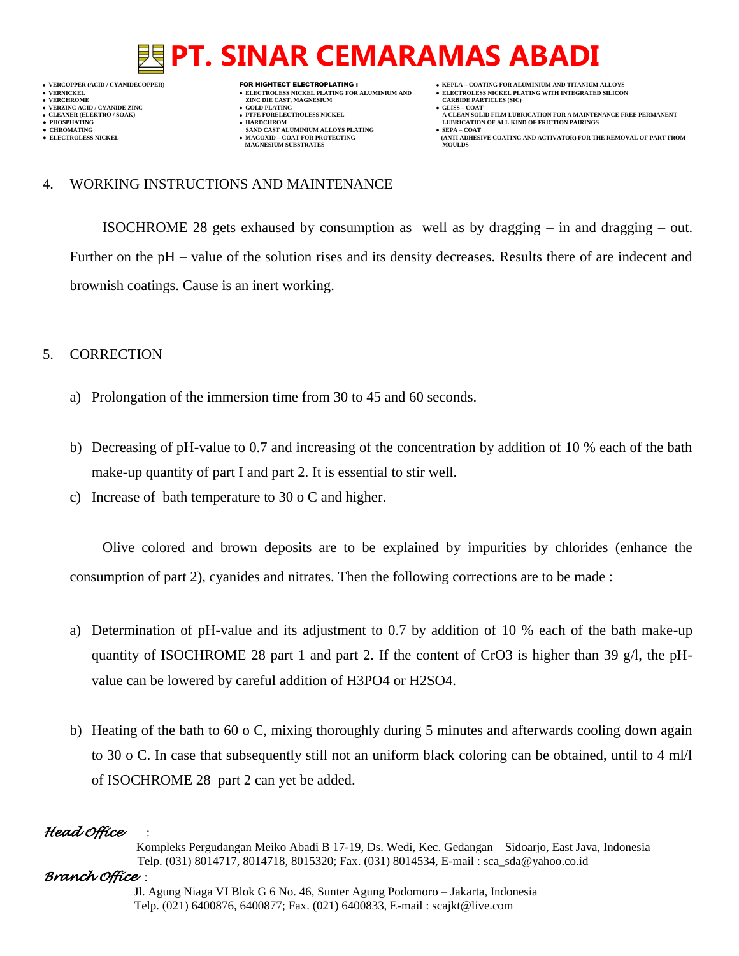**VERNICKEL ELECTROLESS NICKEL PLATING FOR ALUMINIUM AND ELECTROLESS NICKEL PLATING WITH INTEGRATED SILICON**

- **VERFORM ZINC DIE CAST, MAGNESIUM CARBIDE PARTICLES (SIC)**<br> **CARBIDE PARTING**
- **VERZINC ACID / CYANIDE ZINC GOLD PLATING GLISS – COAT**
	-
- **● CHROMATING SAND CAST ALUMINIUM ALLOYS PLATING SEPA – COAT MAGNESIUM SUBSTRATES**
- **VERCOPPER (ACID / CYANIDECOPPER)** FOR HIGHTECT ELECTROPLATING :  **KEPLA – COATING FOR ALUMINIUM AND TITANIUM ALLOYS**
	-
	- **A CLEAN SOLID FILM LUBRICATION FOR A MAINTENANCE FREE PERMANENT**
- **PHOSPHATING HARDCHROM LUBRICATION OF ALL KIND OF FRICTION PAIRINGS ELECTROLESS AND ACTIVATOR) FOR THE REMOVAL OF PART FROM (ANTI ADHESIVE COATING AND ACTIVATOR) FOR THE REMOVAL OF PART FROM**

## 4. WORKING INSTRUCTIONS AND MAINTENANCE

ISOCHROME 28 gets exhaused by consumption as well as by dragging – in and dragging – out. Further on the pH – value of the solution rises and its density decreases. Results there of are indecent and brownish coatings. Cause is an inert working.

# 5. CORRECTION

- a) Prolongation of the immersion time from 30 to 45 and 60 seconds.
- b) Decreasing of pH-value to 0.7 and increasing of the concentration by addition of 10 % each of the bath make-up quantity of part I and part 2. It is essential to stir well.
- c) Increase of bath temperature to 30 o C and higher.

Olive colored and brown deposits are to be explained by impurities by chlorides (enhance the consumption of part 2), cyanides and nitrates. Then the following corrections are to be made :

- a) Determination of pH-value and its adjustment to 0.7 by addition of 10 % each of the bath make-up quantity of ISOCHROME 28 part 1 and part 2. If the content of CrO3 is higher than 39 g/l, the pHvalue can be lowered by careful addition of H3PO4 or H2SO4.
- b) Heating of the bath to 60 o C, mixing thoroughly during 5 minutes and afterwards cooling down again to 30 o C. In case that subsequently still not an uniform black coloring can be obtained, until to 4 ml/l of ISOCHROME 28 part 2 can yet be added.

# *Head Office* :

 Kompleks Pergudangan Meiko Abadi B 17-19, Ds. Wedi, Kec. Gedangan – Sidoarjo, East Java, Indonesia Telp. (031) 8014717, 8014718, 8015320; Fax. (031) 8014534, E-mail : sca\_sda@yahoo.co.id

# *Branch Office* :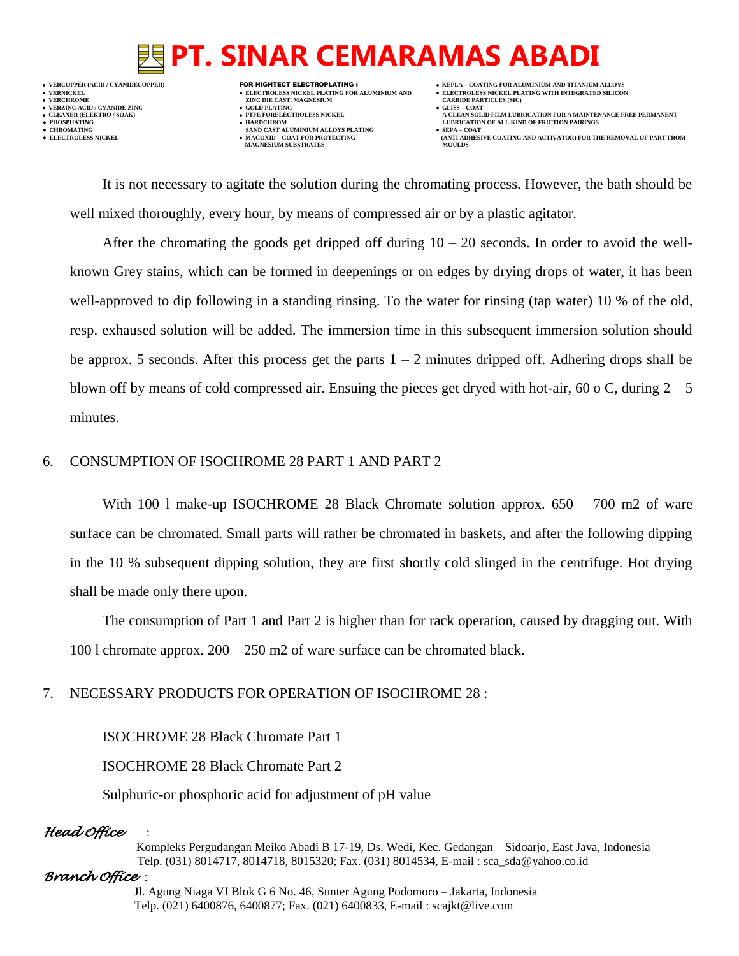**VERCOPPER (ACID / CYANIDECOPPER)** FOR HIGHTECT ELECTROPLATING :  **KEPLA – COATING FOR ALUMINIUM AND TITANIUM ALLOYS VERNICKEL ELECTROLESS NICKEL PLATING FOR ALUMINIUM AND ELECTROLESS NICKEL PLATING WITH INTEGRATED SILICON VERZINC ACID / CYANIDE ZINC GOLD PLATING GLISS – COAT**

- **VERFORM ZINC DIE CAST, MAGNESIUM CARBIDE PARTICLES (SIC)**<br> **CARBIDE PARTING**
- 
- 
- $\bullet$  **CHROMATING**  $\bullet$  **ELECTROLESS NICKEL**  $\bullet$  **MAGOXID COAT FOR PROTECTING MAGNESIUM SUBSTRATES**
- -
- **CLEANER (ELEKTRO / SOAK) PTFE FORELECTROLESS NICKEL A CLEAN SOLID FILM LUBRICATION FOR A MAINTENANCE FREE PERMANENT**
- **PHOSPHATING HARDCHROM LUBRICATION OF ALL KIND OF FRICTION PAIRINGS** 
	- **ELECTROLESS AND ACTIVATOR) FOR THE REMOVAL OF PART FROM (ANTI ADHESIVE COATING AND ACTIVATOR) FOR THE REMOVAL OF PART FROM**

It is not necessary to agitate the solution during the chromating process. However, the bath should be well mixed thoroughly, every hour, by means of compressed air or by a plastic agitator.

After the chromating the goods get dripped off during  $10 - 20$  seconds. In order to avoid the wellknown Grey stains, which can be formed in deepenings or on edges by drying drops of water, it has been well-approved to dip following in a standing rinsing. To the water for rinsing (tap water) 10 % of the old, resp. exhaused solution will be added. The immersion time in this subsequent immersion solution should be approx. 5 seconds. After this process get the parts  $1 - 2$  minutes dripped off. Adhering drops shall be blown off by means of cold compressed air. Ensuing the pieces get dryed with hot-air, 60 o C, during  $2-5$ minutes.

## 6. CONSUMPTION OF ISOCHROME 28 PART 1 AND PART 2

With 100 l make-up ISOCHROME 28 Black Chromate solution approx.  $650 - 700$  m2 of ware surface can be chromated. Small parts will rather be chromated in baskets, and after the following dipping in the 10 % subsequent dipping solution, they are first shortly cold slinged in the centrifuge. Hot drying shall be made only there upon.

The consumption of Part 1 and Part 2 is higher than for rack operation, caused by dragging out. With 100 l chromate approx.  $200 - 250$  m2 of ware surface can be chromated black.

# 7. NECESSARY PRODUCTS FOR OPERATION OF ISOCHROME 28 :

ISOCHROME 28 Black Chromate Part 1

ISOCHROME 28 Black Chromate Part 2

Sulphuric-or phosphoric acid for adjustment of pH value

# *Head Office* :

 Kompleks Pergudangan Meiko Abadi B 17-19, Ds. Wedi, Kec. Gedangan – Sidoarjo, East Java, Indonesia Telp. (031) 8014717, 8014718, 8015320; Fax. (031) 8014534, E-mail : sca\_sda@yahoo.co.id

### *Branch Office* :